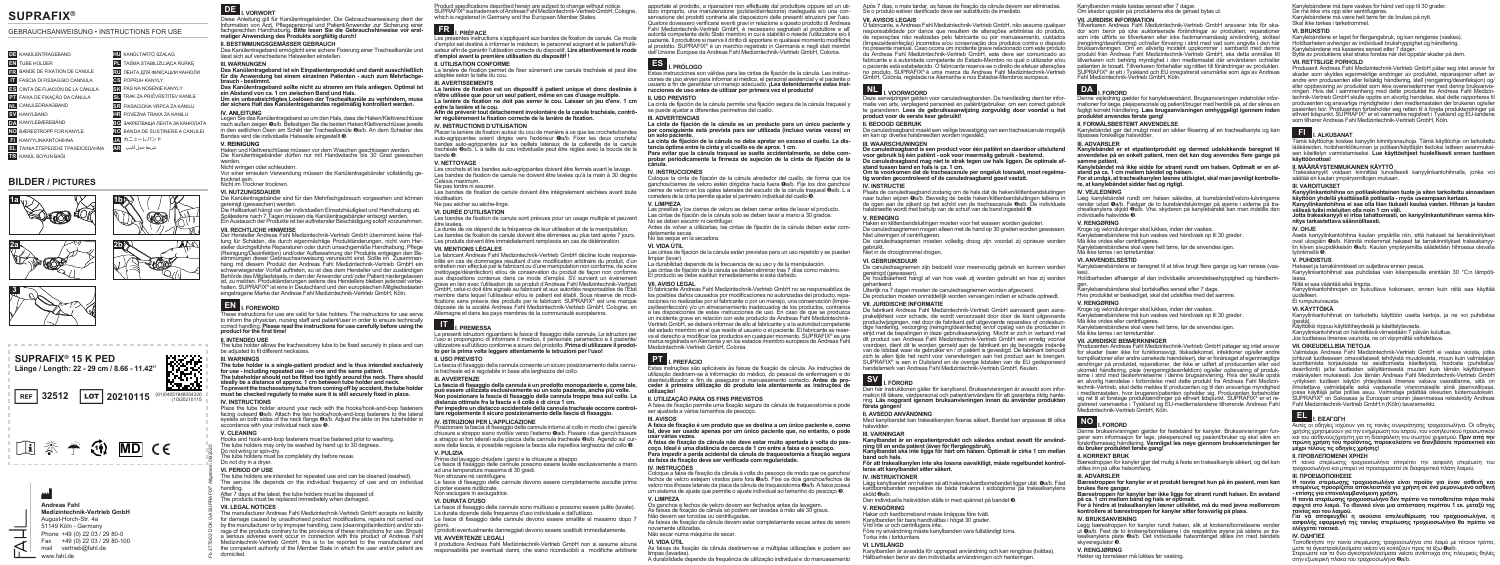## **SUPRAFIX®**

### GEBRAUCHSANWEISUNG • INSTRUCTIONS FOR USE

|                | <b>DE KANÜLENTRAGEBAND</b>           |           | <b>HU</b> KANÜLTARTÓ SZALAG         |
|----------------|--------------------------------------|-----------|-------------------------------------|
| EN             | TUBE HOLDER                          |           | TAŚMA STABILIZUJACA RURKE           |
| <b>FR</b>      | BANDE DE FIXATION DE CANULE          |           | <b>RU ЛЕНТА ДЛЯ ФИКСАЦИИ КАНЮЛИ</b> |
|                | FASCIA DI FISSAGGIO CANNULA          |           | <b>GS</b> POPRUH KANYLY             |
| q₿.            | CINTA DE FIJACIÓN DE LA CÁNULA       |           | PÁS NA NOSENIE KANYLY               |
|                | <b>PT</b> FAIXA DE FIXAÇÃO DA CÂNULA | SI        | TRAK ZA PRIČVRSTITEV KANILE         |
| N <sub>I</sub> | CANULEDRAAGBAND                      | <b>SR</b> | FIKSACIONA VRPCA ZA KANILU          |
|                | <b>SV</b> KANYLBAND                  |           | POVEZNA TRAKA ZA KANILU             |
|                | DA KANYLEBÆREBÅND                    | BG        | ЗАКРЕПВАША ЛЕНТА ЗА КАНЮЛАТА        |
| <b>NO</b>      | BÆRESTROPP FOR KANYLE                | <b>RO</b> | BANDA DE SUSTINERE A CANULEI        |
|                | <b>KANYYLINKANTOHIHNA</b>            | .IA       | カニューレバンド                            |
| EL             | ΤΑΙΝΙΑ ΣΤΕΡΕΩΣΗΣ ΤΡΑΧΕΙΟΣΩΛΗΝΑ       | <b>AR</b> | شريط حمل أنابيب                     |
|                | KANÜL BOYUN BAĞI                     |           |                                     |
|                |                                      |           |                                     |

## **BILDER / PICTURES**







**SUPRAFIX® 15 K PED Länge / Length: 22 - 29 cm / 8.66 - 11.42"** X. г. е **REF** 32512 **LOT** 20210115 <sup>(01)04051948054330</sup> **D 参考通 MD CE** 



**DE I. VORWORT**<br>Diese Anleitung gilt für Kanülentragebänder. Die Gebrauchsanweisung dient der Diese Anleitung gilt für Kanülentragebänder. Die Gebrauchsanweisung dient der Information von Arzt, Phogopoloonal und Patient/Anwender zur Sicherung einer

Fachiger Anwendung des Produkts sorgfältig durch!<br>**BITTE BITTE INGEGEMÄSSED GEBRAUCH II. BESTIMMUNGSGEMÄSSER GEBRAUCH** Das Kanülentrageband ermöglicht eine sichere Fixierung einer Trachealkanüle und lässt sich auf verschiedene Halsweiten einstellen.<br>III WARNLINGEN

**Das Kanülentrageband ist ein Einpatientenprodukt und damit ausschließlich** für die Anwendung bei einem einzelnen Patienten - auch zum Mehrfachge**für die Anwendung bei einem einzelnen Patienten - auch zum Mehrfachge- brauch - bestimmt. Das Kanülentrageband sollte nicht zu stramm am Hals anliegen. Optimal ist** 

**ein Abstand von ca. 1 cm zwischen Band und Hals. Um ein unbeabsichtigtes Loslösen der Trachealkanüle zu verhindern, muss der sichere Halt des Kanülentragebandes regelmäßig kontrolliert werden. IV. ANLEITUNG**<br>Legen Sie das Kanülentrageband so um den Hals, dass die Haken/Klettverschlüsse<br>nach außen zeigen Oa/b. Befestigen Sie die beiden Haken/Klettverschlüsse ieweils

nach außen zeigen Øa/b. Befestigen Sie die beiden Haken/Klettverschlüsse jeweils<br>in den seitlichen Ösen am Schild der Trachealkanüle ❷a/b. An dem Schieber des Bandes wird die individuelle Halsweite eingestellt **☉**. **V. REINIGUNG** Haken und Klettverschlüsse müssen vor dem Waschen geschlossen werden.

Die Kanülentragebänder dürfen nur mit Handwäsche bis 30 Grad gewaschen werden. Nicht wringen oder schleudern.

Vor einer erneuten Verwendung müssen die Kanülentragebänder vollständig ge-<br>trocknet sein.

## Nicht im Trockner trocknen.<br>VL NUTZUNGSDAUER

**VI. NUTZUNGSDAUER** Die Kanülentragebänder sind für den Mehrfachgebrauch vorgesehen und können gereinigt (gewaschen) werden.<br>Die Haltbarkeit hängt von der individuellen Finsatzhäufigkeit und Handhabung ab. Spätestens nach 7 Tagen müssen die Kanülentragebänder entsorgt werden.<br>Ein Austausch der Produkte ist bei auftretender Beschädigung sofort vorzunehmen.<br>VII. DECHTLICHE HINIMERE

**Der Hersteller Andreas Fahl Medizintechnik-Vertrieb GmbH übernimmt keine Haf**ber i erstatels Antuistas 1 en die durch eigenmächtlige Produktänderungen, nicht vom Hersteller durch eigenmächtlige Produktänderungen, nicht vom Hersteller durch eigenaturen oder durch eigenstürzer der die durch eigenstür (Reinigung/Desinfektion) und/oder Aufbewahrung der Produkte entgegen den Be-<br>stimmungen dieser Gebrauchsanweisung verursacht sind. Sollte im Zusammen-<br>hang mit diesem Produkt der Andreas Fahl Medizintechnik-Vertrieb GmbH e schwerwiegender Vorfall auftreten, so ist dies dem Hersteller und der zuständigen Behörde des Mitgliedstaats, in dem der Anwender und/ oder Patient niedergelassen<br>ist. zu melden. Produktänderungen seitens des Herstellers bleiben iederzeit vorbehalten. SUPRAFIX® ist eine in Deutschland und den europäischen Mitgliedsstaaten<br>eingetragene Marke der Andreas Fahl Medizintechnik-Vertrieb GmbH, Köln



to inform the physician, nursing staff and patient/user in order to ensure technically correct handling. **Please read the instructions for use carefully before using the product for the first time!** 

**II. INTENDED USE** The tube holder allows the tracheostomy tube to be fixed securely in place and can be adjusted to fit different necksizes.

**III. WARNINGS The tube holder is a single-patient product and is thus intended exclusively for use - including repeated use - in one and the same patient. The tubeholder should not be fitted too tightly around the neck. There should ideally be a distance of approx. 1 cm between tube holder and neck. To prevent the tracheostomy tube from coming off by accident, the tube holder must be checked regularly to make sure it is still securely fixed in place. IV. INSTRUCTIONS** Place the tube holder around your neck with the hooks/hook-and-loop fasteners facing outward **Q**a/b. Attach the two hooks/hook-and-loop fasteners to the lateral eyelets an both sides of the neck flange *Qa/b.* Adjust the slide on the tubeholder in

accordance with your individual neck size ➌. **V. CLEANING**<br>Hooks and hook-and-loop fasteners must be fastened prior to washing. The tube holders may only be washed by hand up to 30 degrees. Do not wring or spin-dry. The tube holders must be completely dry before reuse.

### Do not dry in a dryer **VI. PERIOD OF USE**

domiciled.

Fb 2775/02 DOK GA SUPRAFIX® Allgemein 08/2020

The service life depends on the individual frequency of use and on individual After 7 days at the latest the tube bolders must be disposed of The products must be replaced immediately when damaged.

**VII. LEGAL NOTICES** The manufacturer Andreas Fahl Medizintechnik-Vertrieb GmbH accepts no liability for damage caused by unauthorised product modifications, repairs not carried out<br>by the manufacturer or by improper bandling, care (cleaning/disinfection) and/or storage of the products contrary to the provisions of these instructions for use. Should a serious adverse event occur in connection with this product of Andreas Fahl Medizintechnik-Vertrieb GmbH, this is to be reported to the manufacturer and the competent authority of the Member State in which the user and/or patient are

Product specifications described herein are subject to change without notice.<br>SUPRAFIX® is atrademark of Andreas Fahl Medizintechnik-Vertrieb GmbH, Cologne,<br>which is registered in Germany and the European Member States.

**FR I. PRÉFACE**<br>Les présentes instructions s'appliquent aux bandes de fixation de canule. Ce mode<br>d'emploi est destiné à informer le médecin. Le personnel soignant et le patient/l'utilisateur afin de garantir l'utilisation correcte du dispositif. Lire attentivement le mode<br>d'emploi avant la première utilisation du dispositif !<br>Il ITII ISATION CONFORME **II. UTILISATION CONFORME** La lanière de fixation permet de fixer sûrement une canule trachéale et peut être

adaptée selon la taille du cou.<br>III AVERTISSEMENTS **III. AVERTISSEMENTS La lanière de fixation est un dispositif à patient unique et donc destinée à n'être utilisée que pour un seul patient, même en cas d'usage multiple. La lanière de fixation ne doit pas serrer le cou. Laisser un jeu d'env. 1 cm** 

entre la lanière et le cou.<br>
Afin de prévenir tout détachement involontaire de la canule trachéale, contrô-<br>
Afin de prévenir tout détachement involontaire de la canule trachéale, contrô-**Afin de prévenir tout détachement involontaire de la canule trachéale, contrô- ler régulièrement la fixation correcte de la lanière de fixation.**

**IV. INSTRUCTIONS D'UTILISATION** Placer la lanière de fixation autour du cou de manière à ce que les crochets/bandes auto-agrippantes soient dirigés vers l'extérieur ➊a/b. Fixer les deux crochets/ bandes auto-agrippantes sur les oeillets latéraux de la collerette de la canule trachéale ➋a/b. L a taille du cou individuelle peut être réglée avec la boucle de la

## bande <sup>®</sup>.<br>V. NETTOVAGE Les crochets et les bandes auto-agrippantes doivent être fermés avant le lavage.

Les bandes de fixation de canule ne doivent être lavées qu'à la main à 30 degrés Celsius maximum.<br>Celsius maximum.<br>Ne nes torrire ni essorer Ne pas tordre ni essorer. Les bandes de fixation de canule doivent être intégralement séchées avant toute

réutilisation. Ne pas sécher au sèche-linge.<br>VLDURÉE D'UTILISATION

**VI. DURÉE D'UTILISATION** Les bandes de fixation de canule sont prévues pour un usage multiple et peuvent être lavées.<br>La durée de vie dépend de la fréquence de leur utilisation et de la manipulation.

Les bandes de fixation de canule doivent être éliminées au plus tard après 7 jours.<br>Les produits doivent être immédiatement remplacés en cas de détérioration.<br>VII. MENTIONS LÉGALES

**VII. MENTIONS LÉGALES** Le fabricant Andreas Fahl Medizintechnik-Vertrieb GmbH décline toute responsa- bilité en cas de dommages résultant d'une modification arbitraire du produit, d'un entretien non effectué par le fabricant ou d'une manipulation non conforme, de soins (nettoyage/désinfection) et/ou de conservation du produit de façon non conforme aux dispositions contenue dans ce mode d'emploi. S'il survient un événement GmbH, celui-ci doit être signalé au fabricant et aux autorités responsables de l'État<br>membre dans lequel l'utilisateur et/ou le patient est établi. Sous réserve de modifications sans préavis des produits par le fabricant. SUPRAFIX® est une marque déposée de la société Andreas Fahl Medizintechnik-Vertrieb GmbH, Cologne, en Allemagne et dans les pays membres de la communauté européenne.

**III. AVVERTENZE**

**IT I. PREMESSA** Le presenti istruzioni riguardano le fasce di fissaggio delle cannule. Le istruzioni per l'uso si propongono di informare il medico, il personale paramedico e il paziente/ utilizzatore sull'utilizzo conforme e sicuro del prodotto. **Prima di utilizzare il prodot- to per la prima volta leggere attentamente le istruzioni per l'uso!**

La fascia di fissaggio della cannula consente un sicuro posizionamento della cannula tracheale ed è regolabile in base alla larghezza del collo.

**La fascia di fissaggio della cannula è un prodotto monopaziente e, come tale, può essere utilizzata esclusivamente su un solo paziente, anche più volte. Non posizionare la fascia di fissaggio della cannula troppo tesa sul collo. La distanza ottimale fra la fascia e il collo è di circa 1 cm. Per impedire un distacco accidentale della cannula tracheale occorre control- lare regolarmente il sicuro posizionamento della fascia di fissaggio.**

Posizionare la fascia di fissaggio della cannula intorno al collo in modo che i ganci/le

chiusure a strappo siano rivolti/e verso l'esterno **O**a/b. Fissare i due ganci/chiusure<br>a strappo siano rivolti/e verso l'esterno **O**a/b. Fissare i due ganci/chiusure<br>a strappo ai fori laterali sulla placca della cannula t sore della fascia, è possibile regolare la fascia alla rispettiva larghezza del collo ®.<br>V. PULLIZIA

**V. PULIZIA** Prima del lavaggio chiudere i ganci e le chiusure a strappo. Le fasce di fissaggio delle cannule possono essere lavate esclusivamente a mano ad una temperatura massima di 30 gradi. Non strizzare né centrifugare.

Le fasce di fissaggio delle cannule devono essere completamente asciutte prima di poter essere riutilizzate. Non asciugare in asciugatrice.

**IV. ISTRUZIONI PER L'APPLICAZIONE**

**VI. DURATA D'USO**

La durata dipende dalla frequenza d'uso individuale e dall'utilizzo.<br>Le fasce di fissaggio delle cannule devono essere smaltite al massimo dopo 7 giorni. I prodotti eventualmente danneggiati devono essere sostituiti immediatamente.

**VII. AVVERTENZE LEGALI<br>Il produttore Andreas Fahl Medizintechnik-Vertrieb GmbH non si assume alcuna** 

responsabilità per eventuali danni, che siano riconducibili a modifiche arbitrarie

apportate al prodotto, a riparazioni non effettuate dal produttore oppure ad un uti-<br>lizzo improprio, una manutenzione (pulizia/disinfezione) inadeguata e/o una con-<br>senzazione dei prodotti contraria alle disposizioni dell Qualora dovessero verificarsi eventi gravi in relazione a questo prodotto di Andreas Fahl Medizintechnik-Vertrieb GmbH, è necessario segnalarli al produttore e all' autorità competente dello Stato membro in cui è stabilito o risiede l'utilizzatore e/o il paziente. Il produttore si riserva il diritto di apportare in qualsiasi momento modifiche<br>al prodotto. SUPRAFIX® è un marchio registrato in Germania e negli stati membri

se puede ajustar a diferentes perímetros del cuello.<br>III ADVERTENCIAS

**cánula.**<br>IV. INSTRUCCIONES

No las seque en la secadora.<br>Vi Vina l'ITII

Medizintechnik-Vertrieb GmbH, Colonia.

**II. UTILIZAÇÃO PARA OS FINS PREVISTOS**

**da faixa de fixação deve ser verificada com regularidade.**

Os ganchos e fechos de velcro devem ser fechados antes da lavagem. As faixas de fixação da cânula só podem ser lavadas à mão até 30 graus. Não devem ser torcidas ou centrifugadas. As faixas de fixação da cânula devem estar completamente secas antes de serem

ser ajustada a vários tamanhos de pescoço.

**VII. AVISO LEGAL**

**utilização!** 

**III. AVISOS**

**IV. INSTRUÇÕES**

novamente utilizadas. Não secar numa máquina de secar.

**V. LIMPEZA**

**VI. VIDA ÚTIL**

limpas (lavadas).

**La cinta de fijación de la cánula no debe apretar en exceso el cuello. La dis- tancia óptima entre la cinta y el cuello es de aprox. 1 cm. Para evitar que la cánula traqueal se suelte accidentalmente, se debe com- probar periódicamente la firmeza de sujeción de la cinta de fijación de la** 

corredera de la cinta permite ajustar el perímetro individual del cuello ➌. **V. LIMPIEZA**<br>Las presillas y los cierres de velcro se deben cerrar antes de lavar el producto. Las cintas de fijación de la cánula solo se deben lavar a mano a 30 grados.<br>No se deben escurrir ni centrifugar. Antes de volver a utilizarlas, las cintas de fijación de la cánula deben estar com- pletamente secas.

limpiar (lavar).<br>La durabilidad depende de la frecuencia de su uso y de la manipulación La durabilidad depende de la frecuencia de su uso y de la manipulación. Las cintas de fijación de la cánula se deben eliminar tras 7 días como máximo. El producto se debe sustituir inmediatamente si está dañado.

El fabricante Andreas Fahl Medizintechnik-Vertrieb GmbH no se responsabiliza de raciones no realizadas por el fabricante o por un manejo, una conservación (limpie-<br>za/desinfección) y/o un almacenamiento inadecuados de los productos, contrarios a las disposiciones de estas instrucciones de uso. En caso de que se produzca un incidente grave en relación con este producto de Andreas Fahl Medizintechnik-Vertrieb GmbH, se deberá informar de ello al fabricante y a la autoridad competente va el derecho a modificar los productos en cualquier momento. SUPRAFIX® es una<br>marca registrada en Alemania y en los estados miembro europeos de Andreas Fahl

**PT I. PREFÁCIO**<br>Estas instruções são aplicáveis às faixas de fixação da cânula. As instruções de

A faixa de fixação permite uma fixação segura da cânula de traqueostomia e pode

**A faixa de fixação é um produto que se destina a um único paciente e, como** 

coço, Ideal é uma distância de cerca de 1 cm entre a faixa e o pescoço.<br>Para impedir a perda acidental da cânula de tragueostomia a fixação segura

Coloque a faixa de fixação da cânula à volta do pescoço de modo que os ganchos/

As faixas de fixação da cânula destinam-se a múltiplas utilizações e podem ser

A durabilidade depende da frequência de utilização individual e do manuseamento

dell'Unione Europea da Andreas Fahl Medizintechnik-Vertrieb GmbH, Colonia. **ES I. PRÓLOGO**<br>Estas instrucciones son válidas para las cintas de fijación de la cánula. Las instrucciones de uso sirven para informar al médico, el personal asistencia o uso sirven para informar al médico, el paciente o usuario a fin de garantizar un manejo adecuado. **¡Lea detenidamente estas inst- rucciones de uso antes de utilizar por primera vez el producto! II. USO PREVISTO** La cinta de fijación de la cánula permite una fijación segura de la cánula traqueal y

La cinta de fijación de la cánula es un producto para un único paciente y **La cinta de fijación de la cánula es un producto para un único paciente y por consiguiente está prevista para ser utilizada (incluso varias veces) en** 

**IV. INSTRUCCIONES** Coloque la cinta de fijación de la cánula alrededor del cuello, de forma que los

Após 7 dias, o mais tardar, as faixas de fixação da cânula devem ser eliminadas.<br>Se o produto estiver danificado deve ser substituído de imediato.<br>VIL AVISOS LEGAIS

**VII. AVISOS LEGAIS** O fabricante, a Andreas Fahl Medizintechnik-Vertrieb GmbH, não assume qualquer responsabilidade por danos que resultem de alterações arbitrárias do produto, de reparações não realizadas pelo fabricante ou por manuseamento, cuidados (limpeza/desinfeção) incorretos e/ou conservação dos produtos contra o disposto no presente manual. Caso ocorra um incidente grave relacionado com este produto da Andreas Fahl Medizintechnik-Vertrieb GmbH, este deve ser comunicado ao fabricante e à autoridade competente do Estado-Membro no qual o utilizador e/ou o paciente está estabelecido. O fabricante reserva-se o direito de efetuar alterações no produto. SUPRAFIX® é uma marca da Andreas Fahl Medizintechnik-Vertrieb GmbH, Colónia, registada na Alemanha e nos Estados-Membros europeus.

**NL I. VOORWOORD**<br>Deze aanwijzingen gelden voor canuledraagbanden. De handleiding dient ter infor- matie van arts, verplegend personeel en patiënt/gebruik te garanderen. Lees de gebruiksaanwijzing zorgvuldig door voordat u het<br>product voor de eerste keer gebruikt!<br>**II. BEOOGD GEBRUIK** 

**II. BEOOGD GEBRUIK** De canuledraagband maakt een veilige bevestiging van een tracheacanule mogelijk en kan op diverse halsbreedten worden ingesteld.

pur solo paciente.<br>
La cinta de fiiación de la cánula no debe apretar en exceso el cuello. La dis

**III. WAARSCHUWINGEN De canuledraagband is een product voor één patiënt en daardoor uitsluitend voor gebruik bij één patiënt - ook voor meermalig gebruik - bestemd. De canuledraagband mag niet te strak tegen uw hals liggen. De optimale af- stand tussen band en hals is ca. 1 cm.**

**Om te voorkomen dat de tracheacanule per ongeluk losraakt, moet regelma- tig worden gecontroleerd of de canuledraagband goed vastzit.**

### ganchos/cierres de velcro estén dirigidos hacia fuera @a/b. Fije los dos ganchos/ cierres de velcro en los ojales laterales del escudo de la cánula traqueal ➋a/b. L a

**IV. INSTRUCTIE** Plaats de canuledraagband zodanig om de hals dat de haken/klittenbandsluitingen naar buiten wijzen ➊a/b. Bevestig de beide haken/klittenbandsluitingen telkens in de ogen aan de zijkant op het schild van de tracheacanule ➋a/b. De individuele halsbreedte wordt met behulp van de schuif van de band ingesteld ➌.

### **V. REINIGING**

Haken en klittenbandsluitingen moeten voor het wassen worden gesloten. De canuledraagriemen mogen alleen met de hand op 30 graden worden gewassen. Niet uitwringen of centrifugeren. De canuledraagriemen moeten volledig droog zijn voordat zij opnieuw worden gebruikt.

**VI. VIDA UTIL**<br>Las cintas de fijación de la cánula están previstas para un uso repetido y se pueden Niet in de droogtrommel drogen.

### **VI. GEBRUIKSDUUR**

De canuledraagriemen zijn bedoeld voor meervoudig gebruik en kunnen worden gereinigd (gewassen). De houdbaarheid hangt af van hoe vaak zij worden gebruikt en hoe zij worden

gehanteerd.<br>Uiterlijk na 7 dagen moeten de canuledraagriemen worden afgevoerd. Die producten moeten onmiddellijk worden vervangen indien er schade optreedt.

**VII. JURIDISCHE INFORMATIE**<br>De fabrikant Andreas Fahl Medizintechnik-Vertrieb GmbH aanvaardt geen aans-De fabrikant Andreas Fahl Medizintechnik-Vertrieb GmbH aanvaardt geen aans- prakelijkheid voor schade, die wordt veroorzaakt door door de klant uitgevoerde productwijzigingen, niet door de fabrikant zelf uitgevoerde reparaties of ondeskun-<br>dige hantering, verzorging (reiniging/desinfectie) en/of opslag van de producten in<br>strijd met de bepalingen in deze gebruiksaanwijzing. M dit product van Andreas Fahl Medizintechnik-Vertrieb GmbH een ernstig voorval voordoen, dient dit te worden gemeld aan de fabrikant en de bevoegde instantie van de lidstaat waar de gebruiker en / of patiënt is gevestigd. De fabrikant behoudt zich te allen tijde het recht voor veranderingen aan het product aan te brengen.<br>SUPRAFIX® is een in Duitsland en de overige lidstaten van de FU gedeponeerd handelsmerk van Andreas Fahl Medizintechnik-Vertrieb GmbH, Keulen.

### utilização destinam-se à informação do médico, do pessoal de enfermagem e do<br>doente/utilizador a fim de assegurar o manuseamento correcto. Antes de prodoente/utilizador a fim de assegurar o manuseamento correcto. **Antes de pro- ceder à primeira utilização do produto leia atentamente as instruções de**

SV<br>Den här instuktionen gäller för kanylband. Bruksanvisningen är avsedd som infor<br>mation till läkare, värdpersonal och patient/användare för att garantera riklig hante-<br>mäton till läkare, värdpersonal och patient/användar

### **II. AVSEDD ANVÄNDNING**

Med kanylbandet kan trakealkanylen fixeras säkert, Bandet kan anpassas till olika halsvidder.

**tal, deve ser usado apenas por um único paciente que, no entanto, o pode**  usar várias vezes.<br>A faixa de fixação da cânula não deve estar muito apertada à volta do pes **III. VARNINGAR**

**Kanylbandet är en enpatientprodukt och således endast avsett för använd- ning till en enda patient (även för flergångsbruk). Kanylbandet ska inte ligga för hårt om halsen. Optimalt är cirka 1 cm mellan** 

**band och hals. För att trakealkanylen inte ska lossna oavsiktligt, måste regelbundet kontrol- leras att kanylbandet sitter säkert.**

### **IV. INSTRUKTIONER**

fechos de velcro estejam virados para fora **Q**a/b. Fixe os dois ganchos/fechos de velcro nos ilhoses laterais da placa da cânula de traqueostomia @a/b. A faixa possui um sistema de ajuste que permite o ajuste individual ao tamanho do pescoço ➌. Lägg kanylbandet om halsen så att hakarna/kardborrebandet ligger utåt ➊a/b. Fäst kardborrebanden respektive de båda hakarna i sidoöglorna på trakealkanylens sköld ➋a/b. Den individuella halsvidden ställs in med spännet på bandet ➌.

**V. RENGÖRING**

Hakar och kardborreband måste knäppas före tvätt. Kanylbanden får bara handtvättas i högst 30 grader. Vrid inte ur och centrifugera inte.

Före ny användning måste kanylbanden vara fullständigt torra. Torka inte i torktumlare.

**VI. LIVSLÄNGD**<br>Kanylbanden är avsedda för upprepad användning och kan rengöras (tvättas). Kanylbanden är avsedda för upprepad användning och kan rengöras (tvättas). Hållbarheten beror av den individuella användningen och hanteringen.

### Kanylbanden måste kastas senast efter 7 dagar. Om skador uppstår på produkterna ska de genast bytas ut.<br>Vilj uppnisk incopalation

tilpasses forskellige halsvidder.<br>III. ADVARSLER

**samme patient.**

individuelle halsvidde ➌.

**V. RENGØRING**

Må ikke vrides eller centrifugeres.

Må ikke vrides eller centrifugeres.

Må ikke tørres i en tørretumbler.<br>VILLUEDINSKE BEMÆRKNINGER

Medizintechnik-Vertrieb GmbH, Köln.

**II. KORREKT BRUK**

**brukes flere ganger.**

**IV. BRUKSANVISNING**

skyveregulator ➌. **V. RENGJØRING**

stilles inn på ulike halsomfang. **III. ADVARSLER**

**på ca. 1 cm mellom bånd og hals er optimalt.**

Hekter og borrelåser må lukkes før vasking.

Må ikke tørres i en tørretumbler. **VI. ANVENDELSESTID**

**V. RENGØRING** Kroge og velcrolukninger skal lukkes, inden der vaskes. Kanylebærebåndene må kun vaskes ved håndvask op til 30 grader.

Kanylebærebåndene skal være helt tørre, før de anvendes igen.

Kanylebærebåndene skal bortskaffes senest efter 7 dage. Hvis produktet er beskadiget, skal det udskiftes med det samme.

Kanylebærebåndene skal være helt tørre, før de anvendes igen.

Kroge og velcrolukninger skal lukkes, inden der vaskes. Kanylebærebåndene må kun vaskes ved håndvask op til 30 grader

**VIII. VIII. JURIDISK INFORMATION**<br>Tilluerkaren Andreas Eabl Medizintechnik Vertrieb CmbH ansvarar inte för ska-Tillverkaren Andreas Fahl Medizintechnik-Vertrieb GmbH ansvarar inte för ska- dor som beror på icke auktoriserade förändringar av produkten, reparationer som inte utförts av tillverkaren eller icke fackmannamässig användning, skötsel (rengöring/desinficering) och/eller förvaring i strid med vad som angivits i den här bruksanvisningen. Om en allvarlig incident uppkommer i samband med denna produkt från Andreas Fahl Medizintechnik-Vertrieb GmbH, ska detta anmälas till tillverkaren och behörig myndighet i den medlemsstat där användaren och/eller patienten ar bosatt. Tillverkaren torbehåller sig rätten till förändringar av produkten.<br>SUPRAFIX® är ett i Tyskland och EU inregistrerat varumärke som ägs av Andreas<br>Fahl Medizintechnik-Vertrieb GmbH, Köln.

**DA I. FORORD**<br>Denne vejledning gælder for kanylebærebånd. Brugsanvisningen indeholder infor-<br>mationer for læge, plejepersonale og patient/bruger med henblik på, at der sikres en fagligt korrekt håndtering. **Læs brugsanvisningen omhyggeligt igennem inden**<br>p**roduktet anvendes første gang!**<br>**II. FORMÅLSBESTEMT ANVENDELSE II. FORMALSBESTEMT ANVENDELSE<br>Kanylebåndet gør det muligt med en sikker fiksering af en trachealkanyle og kan** 

**III. ADVARSLER Kanylebåndet er et etpatientprodukt og dermed udelukkende beregnet til anvendelse på en enkelt patient, men det kan dog anvendes flere gange på** 

**Kanylebåndet må ikke sidde for stramt rundt om halsen. Optimalt er en af- stand på ca. 1 cm mellem båndet og halsen. For at undgå, at trachealkanylen løsnes utilsigtet, skal man jævnligt kontrolle- re, at kanylebåndet sidder fast og rigtigt.**

Kanylebærebåndene er beregnet til at blive brugt flere gange og kan renses (vas-Holdbarheden afhænger af den individuelle anvendelseshyppighed og håndterin-

**VII. JURIDISKE BEMÆRKNINGER** Producenten Andreas Fahl Medizintechnik-Vertrieb GmbH påtager sig intet ansvar for skader (især ikke for funktionssvigt, tilskadekomst, infektioner og/eller andre komplikationer eller andre uønskede hændelser), der er forårsaget af egenmægtige ændringer på produktet, reparationer, der ikke er udført af producenten eller ved ukorrekt håndtering, pleje (rengøring/desinfektion) og/eller opbevaring af produk-<br>terne i strid med bestemmelserne i denne brugsanvisning. Hvis der skulle opstå<br>en alvorlig hændelse i forbindelse med dette orodukt fra And technik-Vertrieb, skal dette meldes fil producenten og til den ansvarlige myndighed i medlemsstaten, hvor brugeren/patienten opholder sig. Producenten forbeholder sig ret til at foretage produktændringer på ethvert tidspunkt. SUPRAFIX® er et re- gistreret varemærke i Tyskland og EU-medlemslandene tilhørende Andreas Fahl

**NO I. FORORD**<br>Denne bruksanvisningen gjelder for festebånd for kanyler. Bruksanvisningen fun-<br>gerer som informasjon for lege, pleiepersonell og pasient/bruker og skal sikre en forskriftsmessig håndtering. **Vennligst les nøye gjennom bruksanvisningen før du bruker produktet første gang!** 

Bærestroppen for kanyler gjør det mulig å feste en trakealkanyle sikkert, og det kan

**Bærestroppen for kanyler er et produkt beregnet kun på én pasient, men kan** 

**Bærestroppen for kanyler bør ikke ligge for stramt rundt halsen. En avstand** 

**For å hindre at trakealkanylen løsner utilsiktet, må du med jevne mellomrom kontrollere at bærestroppen for kanyler sitter forsvarlig på plass.**

Legg bærestroppen for kanyler rundt halsen, slik at krokene/borrelåsene vender<br>ut Oa/b. Fest de to krokene/borrelåsene i de respektive øvene på sidene av trakealkanylens plate @a/b. Det individuelle halsomfanget stilles inn med båndets

Kanylebåndene må bare vaskes for hånd ved opp til 30 grader. Kanylebåndene må være helt tørre før de brukes på nytt. Skal ikke tørkes i tørketrommel.<br>VL BRUKSTID **Kanvlehåndene er laget for flergangshruk, og kan rengjøres (vaskes)** 

Kanylebåndene er laget for flergangsbruk, og kan rengjøres (vastes).<br>Holdbarheten avhenger av individuell brukshyppighet og håndtering.<br>Kanylebåndene må kasseres senest etter 7 dager. Bytte av produktene skal straks foretas når det oppstår skader på dem.<br>VII. RETTSLIGE FORHOLD

De må ikke vris opp eller sentrifugeres.

**VII. RETTSLIGE FORHOLD** Produsent Andreas Fahl Medizintechnik-Vertrieb GmbH påtar seg intet ansvar for skader som skyldes egenmektige endringer av produktet, reparasjoner utført av andre enn produsenten eller feilaktig håndtering, stell (rengjøring/desinfeksjon) og/ onion per business that is ammenheng med dette produktet fra Andreas Fahl Medizin-<br>technik-Vertrieb GmbH skulle opptre en alvorig hendelse, skal dette rapporteres ti produsenten og ansvarlige myndigheter i den medlemsstaten der brukeren og/eller pasienten bor. Produsenten torbeholder seg retten til a toreta produktendringer på<br>ethvert tidspunkt. SUPRAFIX® er et varemerke registrert i Tyskland og EU-landene<br>som tilhører Andreas Fahl Medizintechnik-Vertrieb GmbH, Kö

**V. PUHDISTUS**

uudelleen. Ei rumpukuivausta.<br>VI KÄYTTÖIKÄ

Niitä ei saa vääntää eikä lingota.

**VII. OIKEUDELLISIA TIETOJA**

**μέχρι τέλους τις οδηγίες χρήσης!** 

**- επίσης για επαναλαμβανόμενη χρήση.**

στην εξωτερική πλάκα του τραχειοσωλήνα ➋a/b.

**III. ΠΡΟΕΙΔΟΠΟΙΉΣΕΙΣ**

**FI I. ALKUSANAT**<br>Tämä käyttöohje koskee kanyylin kiinnitysnauhoja. Tämä käyttöohje on tarkoitettu<br>lääkäreiden, hoitohenkilökungan ja potilaan/käyttäjän tiedoksi laitteen asianmukailääkäreiden, hoitohenkilökunnan ja potilaan/käyttäjän tiedoksi laitteen asianmukai- sen käsittelyn varmistamiseksi. **Lue käyttöohjeet huolellisesti ennen tuotteen käyttöönottoa!** 

Hakaset ja tarrakiinnikkeet on suljettava ennen pesua.

(pestä). Käyttöikä riippuu käyttötiheydestä ja käsittelytavasta. Kanyylinkantohihnat on hävitettävä viimeistään 7 päivän kuluttua. Jos tuotteissa ilmenee vaurioita, ne on viipymättä vaihdettava.

Fahl Medizintechnik-Vertrieb GmbH:n (Köln) tavaramerkki.

**II. MÄÄRÄYSTENMUKAINEN KÄYTTÖ** Trakeakanyylit voidaan kiinnittää turvallisesti kanyylinkantohihnalla, jonka voi säätää eri kaulan ympärysmittojen mukaan.

**III. VAROITUKSET Kanyylinkantohihna on potilaskohtainen tuote ja siten tarkoitettu ainoastaan** 

**IV. VEJLEDNING** Læg kanylebåndet rundt om halsen således, at burrebåndet/velcro-lukningerne chealkanylens skjold @a/b. Vha. skyderen på kanylebåndet kan man indstille den **käyttöön yhdellä yksittäisellä potilaalla - myös useampaan kertaan. Kanyylinkantohihna ei saa olla liian tiukasti kaulaa vasten. Hihnan ja kaulan välissä tulisi mieluiten olla noin 1 cm väli.**

**Jotta trakeakanyyli ei irtoa tahattomasti, on kanyylinkantohihnan varma kiin- nitys tarkastettava säännöllisesti.**

### **IV. OHJE** Aseta kanyylinkantohihna kaulan ympärille niin, että hakaset tai tarrakiinnitykset ovat ulospäin ➊a/b. Kiinnitä molemmat hakaset tai tarrakiinnitykset trakeakanyy- lin kilven sivupidikkeisiin ➋a/b. Kaulan ympärysmitta säädetään hihnassa olevalla työntimellä ➌.

Kanyylinkantohihnat saa puhdistaa vain käsinpesulla enintään 30 °C:n lämpöti-

Kanyylinkantohihnojen on kuivuttava kokonaan, ennen kuin niitä saa käyttää

**VI. KÄYTTÖIKÄ** Kanyylinkantohihnat on tarkoitettu käyttöön useita kertoja, ja ne voi puhdistaa

Valmistaja Andreas Fahl Medizintechnik-Vertrieb GmbH ei vastaa vioista, jotka johtuvat tuotteeseen omavaltaisesti tehdyistä muutoksista, muun kuin valmistajan suorittamista korjauksista tai asiattomasta käsittelystä, hoidosta (puhdistus/ desinfiointi) ja/tai tuotteiden säilyttämisestä muuten kuin tämän käyttöohjeen määräysten mukaisesti. Jos tämän Andreas Fahl Medizintechnik-Vertrieb GmbH -yrityksen tuotteen käytön yhteydessä ilmenee vakava vaaratilanne, siitä on ilmoitettava valmistajalle sekä vastaavalle viranomaiselle siinä jäsenvaltiossa, jossa käyttäjä ja/tai potilas asuu. Valmistaja pidättää oikeuden tuotemuutoksiin.

**EL I.**<br>Αυτές οι οδηγίες ισχύουν για τις ταινίες συγκράτησης τραχειοσωλήνα. Οι οδηγίες χρήσης χρησιμεύουν για την ενημέρωση του ιατρού, του νοσηλευτικού προσωπικού και του ασθενούς/χρήστη για τη διασφάλιση του σωστού χειρισμού. **Πριν από την πρώτη χρήση του προϊόντος, παρακαλείστε να διαvβάσετε προσεκτικά και** 

**ΙΙ. ΠΡΟΒΛΕΠΟΜΕΝΗ ΧΡΗΣΗ**<br>Η ταινία στερέωσης τραχειοσωλήνα επιτρέπει την ασφαλή στερέωση του τραχειοσωλήνα και μπορεί να προσαρμοστεί σε διαφορετικά πλάτη λαιμού.

**Η ταινία στερέωσης τραχειοσωλήνα είναι προϊόν για έναν ασθενή και επομένως προορίζεται αποκλειστικά για χρήση σε ένα μεμονωμένο ασθενή** 

**Η ταινία στερέωσης τραχειοσωλήνα δεν πρέπει να τοποθετείται πάρα πολύ σφιχτά στο λαιμό. Το ιδανικό είναι μια απόσταση περίπου 1 εκ. μεταξύ της ταινίας και του λαιμού. Για να αποφευχθεί η ακούσια απελευθέρωση του τραχειοσωλήνα, η ασφαλής εφαρμογή της ταινίας στερέωσης τραχειοσωλήνα θα πρέπει να ελέγχεται τακτικά. ΙV. ΟΔΗΓΊΕΣ**<br>Τοποθετήστε την ταινία στερέωσης τραχειοσωλήνα στο λαιμό με τέτοιον τρόπο,<br>ώστε τα άνκιστοα/κλεισίματα velcro να κοιτάζουν πορς τα έξω **θε**ν/b Στερεώστε και τα δύο άγκιστρα/κλεισίματα velcro αντίστοιχα στις πλευρικές θηλιές